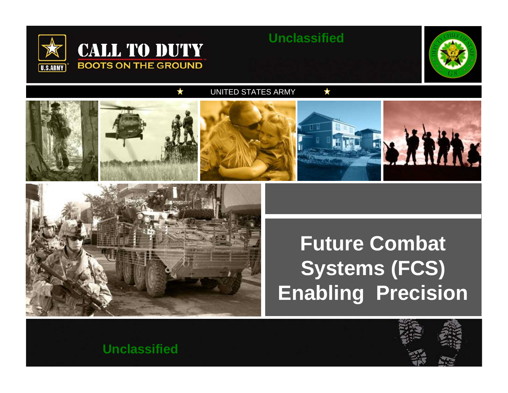

#### **Unclassified**



UNITED STATES ARMY





# **Future Combat Systems (FCS) Enabling Precision**



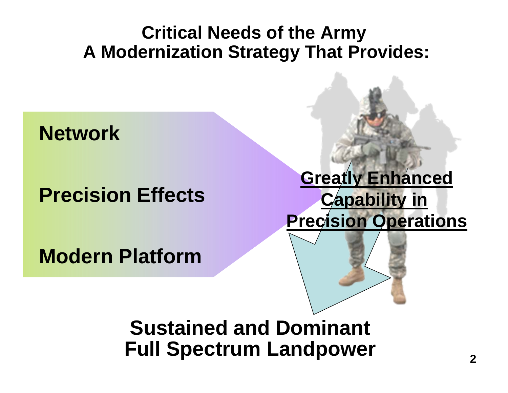#### **Critical Needs of the Army A Modernization Strategy That Provides:**

## **Network**

## **Precision Effects**

**Modern Platform**

## **Greatly Enhanced Capability in Precision Operations**



## **Sustained and Dominant Full Spectrum Landpower**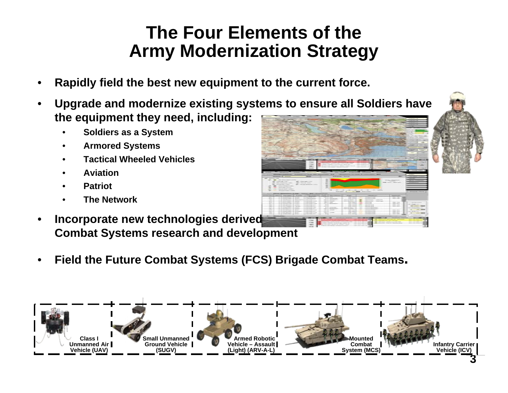#### **The Four Elements of the Army Modernization Strategy**

- •**Rapidly field the best new equipment to the current force.**
- • **Upgrade and modernize existing systems to ensure all Soldiers have the equipment they need, including:**
	- •**Soldiers as a System**
	- •**Armored Systems**
	- •**Tactical Wheeled Vehicles**
	- •**Aviation**
	- •**Patriot**
	- •**The Network**
- •**Incorporate new technologies derived Combat Systems research and development**
- •**Field the Future Combat Systems (FCS) Brigade Combat Teams.**

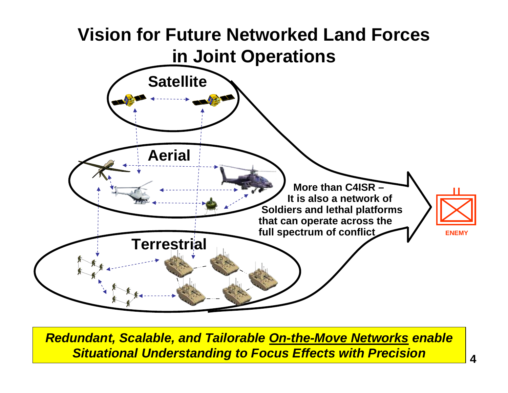

*Redundant, Scalable, and Tailorable On-the-Move Networks enable Situational Understanding to Focus Effects with Precision*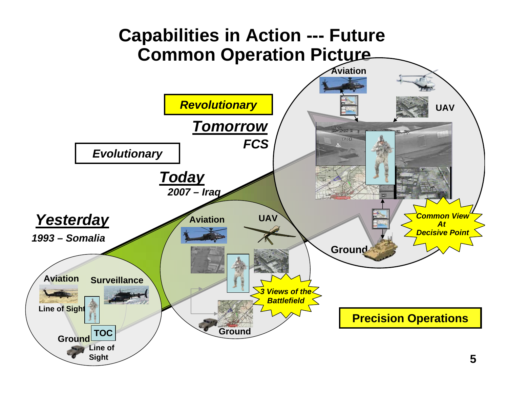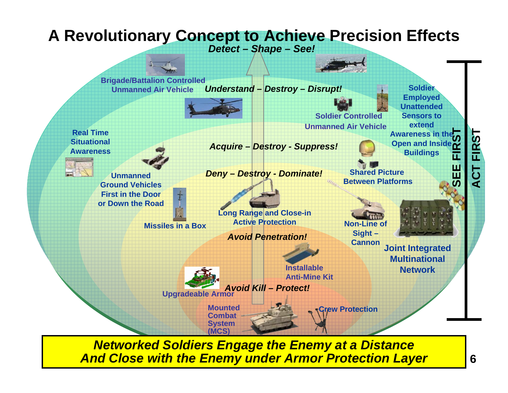#### **A Revolutionary Concept to Achieve Precision Effects**

*Detect – Shape – See!* 



*Networked Soldiers Engage the Enemy at a Distance And Close with the Enemy under Armor Protection Layer*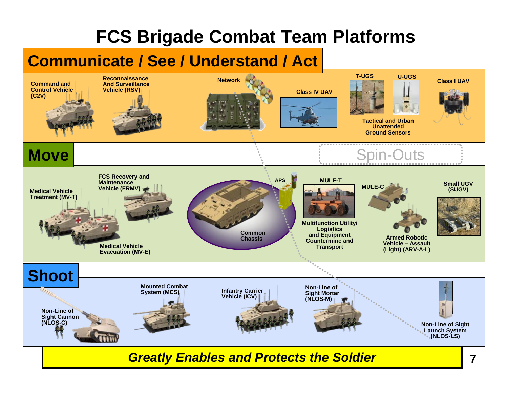## **FCS Brigade Combat Team Platforms**

#### **Communicate / See / Understand / Act**



*Greatly Enables and Protects the Soldier*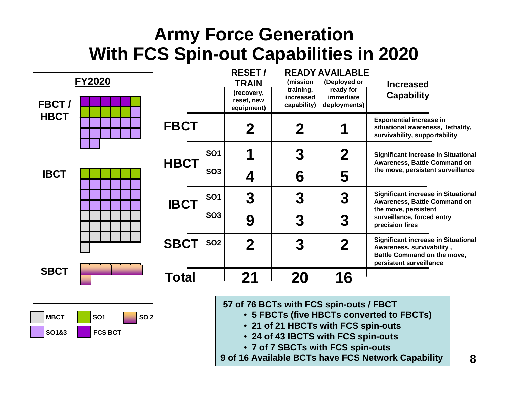#### **Army Force Generation With FCS Spin-out Capabilities in 2020**

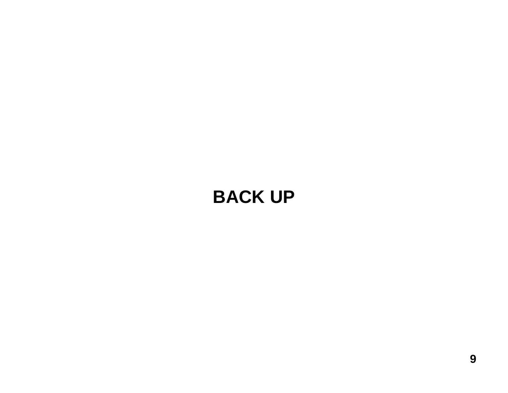## **BACK UP**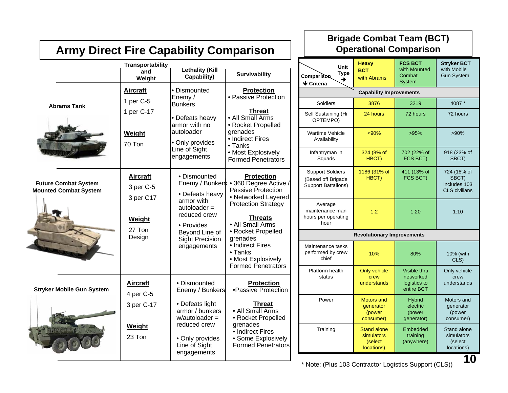| <b>Army Direct Fire Capability Comparison</b>               |                                           |                                                                                                                                                |                                                                                                                                                                                                                                                                                                  | <b>Brigade Combat Team (BCT)</b><br><b>Operational Comparison</b>           |                                                           |                                                           |                                                              |
|-------------------------------------------------------------|-------------------------------------------|------------------------------------------------------------------------------------------------------------------------------------------------|--------------------------------------------------------------------------------------------------------------------------------------------------------------------------------------------------------------------------------------------------------------------------------------------------|-----------------------------------------------------------------------------|-----------------------------------------------------------|-----------------------------------------------------------|--------------------------------------------------------------|
|                                                             | Transportability<br>and<br>Weight         | <b>Lethality (Kill</b><br>Capability)                                                                                                          | <b>Survivability</b>                                                                                                                                                                                                                                                                             | Unit<br><b>Type</b><br>Comparison<br>→<br>$\blacklozenge$ Criteria          | <b>Heavy</b><br><b>BCT</b><br>with Abrams                 | <b>FCS BCT</b><br>with Mounted<br>Combat<br><b>System</b> | <b>Stryker BCT</b><br>with Mobile<br><b>Gun System</b>       |
| <b>Abrams Tank</b>                                          | <b>Aircraft</b><br>1 per C-5              | • Dismounted<br>Enemy /<br><b>Bunkers</b><br>• Defeats heavy<br>armor with no<br>autoloader<br>• Only provides<br>Line of Sight<br>engagements | <b>Protection</b><br>• Passive Protection<br>Threat<br>• All Small Arms<br>• Rocket Propelled<br>grenades<br>• Indirect Fires<br>• Tanks<br>• Most Explosively<br><b>Formed Penetrators</b>                                                                                                      | <b>Capability Improvements</b>                                              |                                                           |                                                           |                                                              |
|                                                             |                                           |                                                                                                                                                |                                                                                                                                                                                                                                                                                                  | Soldiers                                                                    | 3876                                                      | 3219                                                      | 4087 *                                                       |
|                                                             | 1 per C-17                                |                                                                                                                                                |                                                                                                                                                                                                                                                                                                  | Self Sustaining (Hi<br>OPTEMPO)                                             | 24 hours                                                  | 72 hours                                                  | 72 hours                                                     |
|                                                             | Weight<br>70 Ton                          |                                                                                                                                                |                                                                                                                                                                                                                                                                                                  | <b>Wartime Vehicle</b><br>Availability                                      | < 90%                                                     | >95%                                                      | $>90\%$                                                      |
|                                                             |                                           |                                                                                                                                                |                                                                                                                                                                                                                                                                                                  | Infantryman in<br>Squads                                                    | 324 (8% of<br>HBCT)                                       | 702 (22% of<br>FCS BCT)                                   | 918 (23% of<br>SBCT)                                         |
| <b>Future Combat System</b><br><b>Mounted Combat System</b> | <b>Aircraft</b><br>3 per C-5<br>3 per C17 | • Dismounted<br>• Defeats heavy                                                                                                                | <b>Protection</b><br>Enemy / Bunker\$ • 360 Degree Active /<br>Passive Protection<br>• Networked Layered<br><b>Protection Strategy</b><br><b>Threats</b><br>• All Small Arms<br>• Rocket Propelled<br>grenades<br>• Indirect Fires<br>• Tanks<br>• Most Explosively<br><b>Formed Penetrators</b> | <b>Support Soldiers</b><br>(Based off Brigade<br><b>Support Battalions)</b> | 1186 (31% of<br>HBCT)                                     | 411 (13% of<br>FCS BCT)                                   | 724 (18% of<br>SBCT)<br>includes 103<br><b>CLS</b> civilians |
|                                                             | <b>Weight</b><br>27 Ton<br>Design         | armor with<br>$autoloader =$<br>reduced crew<br>• Provides                                                                                     |                                                                                                                                                                                                                                                                                                  | Average<br>maintenance man<br>hours per operating<br>hour                   | 1:2                                                       | 1:20                                                      | 1:10                                                         |
|                                                             |                                           | Beyond Line of<br><b>Sight Precision</b><br>engagements                                                                                        |                                                                                                                                                                                                                                                                                                  | <b>Revolutionary Improvements</b>                                           |                                                           |                                                           |                                                              |
|                                                             |                                           |                                                                                                                                                |                                                                                                                                                                                                                                                                                                  | Maintenance tasks<br>performed by crew<br>chief                             | 10%                                                       | 80%                                                       | 10% (with<br>CLS)                                            |
| <b>Stryker Mobile Gun System</b>                            | <b>Aircraft</b>                           | • Dismounted<br>Enemy / Bunkers                                                                                                                | <b>Protection</b><br>•Passive Protection                                                                                                                                                                                                                                                         | Platform health<br>status                                                   | Only vehicle<br>crew<br>understands                       | Visible thru<br>networked<br>logistics to<br>entire BCT   | Only vehicle<br>crew<br>understands                          |
|                                                             | 4 per C-5<br>3 per C-17                   | • Defeats light<br>armor / bunkers<br>$w/autoloader =$<br>reduced crew<br>• Only provides<br>Line of Sight<br>engagements                      | <b>Threat</b><br>• All Small Arms<br>• Rocket Propelled<br>grenades<br>• Indirect Fires<br>• Some Explosively<br><b>Formed Penetrators</b>                                                                                                                                                       | Power                                                                       | <b>Motors and</b><br>generator<br>(power<br>consumer)     | <b>Hybrid</b><br>electric<br>(power<br>generator)         | Motors and<br>generator<br>(power<br>consumer)               |
|                                                             | Weight<br>23 Ton                          |                                                                                                                                                |                                                                                                                                                                                                                                                                                                  | Training                                                                    | <b>Stand alone</b><br>simulators<br>(select<br>locations) | Embedded<br>training<br>(anywhere)                        | Stand alone<br>simulators<br>(select<br>locations)<br>1 N    |

#### \* Note: ( Plus 103 Contractor Logistics Support ( CLS))

**10**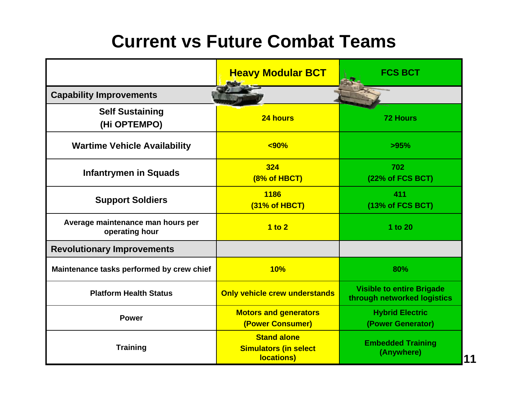## **Current vs Future Combat Teams**

|                                                     | <b>Heavy Modular BCT</b>                                         | <b>FCS BCT</b>                                                  |  |
|-----------------------------------------------------|------------------------------------------------------------------|-----------------------------------------------------------------|--|
| <b>Capability Improvements</b>                      |                                                                  |                                                                 |  |
| <b>Self Sustaining</b><br>(Hi OPTEMPO)              | 24 hours                                                         | <b>72 Hours</b>                                                 |  |
| <b>Wartime Vehicle Availability</b>                 | $90%$                                                            | >95%                                                            |  |
| <b>Infantrymen in Squads</b>                        | 324<br>(8% of HBCT)                                              | 702<br>(22% of FCS BCT)                                         |  |
| <b>Support Soldiers</b>                             | 1186<br>(31% of HBCT)                                            | 411<br>(13% of FCS BCT)                                         |  |
| Average maintenance man hours per<br>operating hour | 1 to 2                                                           | 1 to 20                                                         |  |
| <b>Revolutionary Improvements</b>                   |                                                                  |                                                                 |  |
| Maintenance tasks performed by crew chief           | 10%                                                              | 80%                                                             |  |
| <b>Platform Health Status</b>                       | <b>Only vehicle crew understands</b>                             | <b>Visible to entire Brigade</b><br>through networked logistics |  |
| <b>Power</b>                                        | <b>Motors and generators</b><br>(Power Consumer)                 | <b>Hybrid Electric</b><br>(Power Generator)                     |  |
| <b>Training</b>                                     | <b>Stand alone</b><br><b>Simulators (in select</b><br>locations) | <b>Embedded Training</b><br>(Anywhere)                          |  |